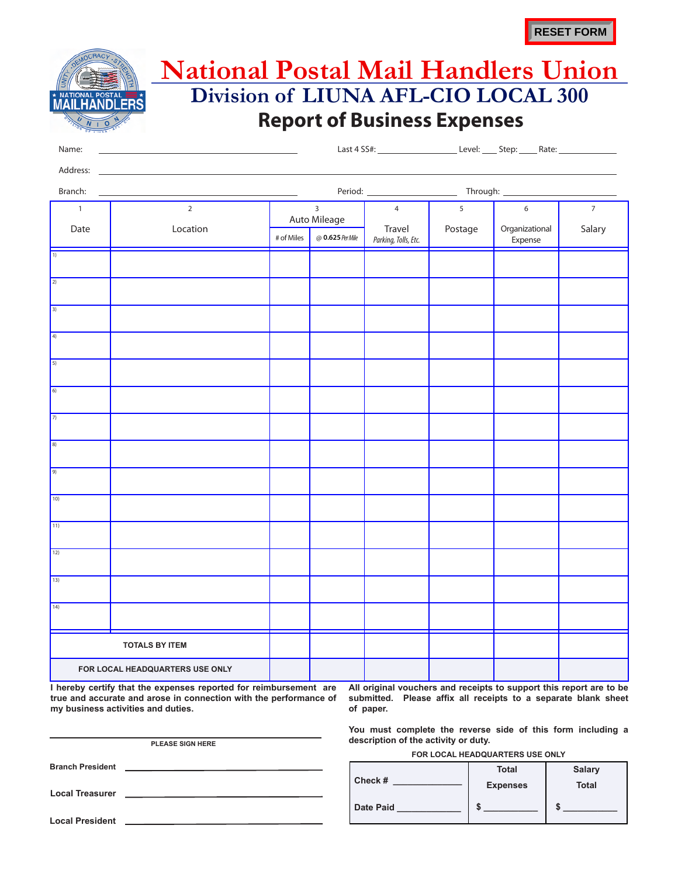## **Report of Business Expenses National Postal Mail Handlers Union Division of LIUNA AFL-CIO LOCAL 300**

| Name:                       | <u> 1989 - John Harry Harry Harry Harry Harry Harry Harry Harry Harry Harry Harry Harry Harry Harry Harry Harry H</u> |                                |                  |                                |         |                           |                |  |  |
|-----------------------------|-----------------------------------------------------------------------------------------------------------------------|--------------------------------|------------------|--------------------------------|---------|---------------------------|----------------|--|--|
| Branch:                     |                                                                                                                       | <u> Anglick (* 1952)</u>       |                  |                                |         |                           |                |  |  |
| $\overline{1}$<br>Date      | $\overline{2}$<br>Location                                                                                            | $\overline{3}$<br>Auto Mileage |                  | $\overline{4}$                 | 5       | 6                         | $\overline{7}$ |  |  |
|                             |                                                                                                                       | # of Miles                     | @ 0.625 Per Mile | Travel<br>Parking, Tolls, Etc. | Postage | Organizational<br>Expense | Salary         |  |  |
| $\overline{1}$              |                                                                                                                       |                                |                  |                                |         |                           |                |  |  |
| $\boxed{2}$                 |                                                                                                                       |                                |                  |                                |         |                           |                |  |  |
| $\overline{\left(3\right)}$ |                                                                                                                       |                                |                  |                                |         |                           |                |  |  |
| $\boxed{4}$                 |                                                                                                                       |                                |                  |                                |         |                           |                |  |  |
| $\overline{5}$              |                                                                                                                       |                                |                  |                                |         |                           |                |  |  |
| $\boxed{6}$                 |                                                                                                                       |                                |                  |                                |         |                           |                |  |  |
| $\sqrt{7}$                  |                                                                                                                       |                                |                  |                                |         |                           |                |  |  |
| $\boxed{8}$                 |                                                                                                                       |                                |                  |                                |         |                           |                |  |  |
| 9)                          |                                                                                                                       |                                |                  |                                |         |                           |                |  |  |
| 10)                         |                                                                                                                       |                                |                  |                                |         |                           |                |  |  |
| $\boxed{11}$                |                                                                                                                       |                                |                  |                                |         |                           |                |  |  |
| 12)                         |                                                                                                                       |                                |                  |                                |         |                           |                |  |  |

| I hereby certify that the expenses reported for reimbursement are |  |  |  |  |
|-------------------------------------------------------------------|--|--|--|--|
| true and accurate and arose in connection with the performance of |  |  |  |  |
| my business activities and duties.                                |  |  |  |  |

**FOR LOCAL HEADQUARTERS USE ONLY**

**TOTALS BY ITEM**

13)

 $14)$ 

**Local President Local Treasurer Branch President PLEASE SIGN HERE**

**All original vouchers and receipts to support this report are to be submitted. Please affix all receipts to a separate blank sheet of paper.**

**You must complete the reverse side of this form including a description of the activity or duty.**

**FOR LOCAL HEADQUARTERS USE ONLY**

|                  | <b>Total</b>    | <b>Salary</b> |
|------------------|-----------------|---------------|
| Check #          | <b>Expenses</b> | <b>Total</b>  |
| <b>Date Paid</b> |                 | æ             |